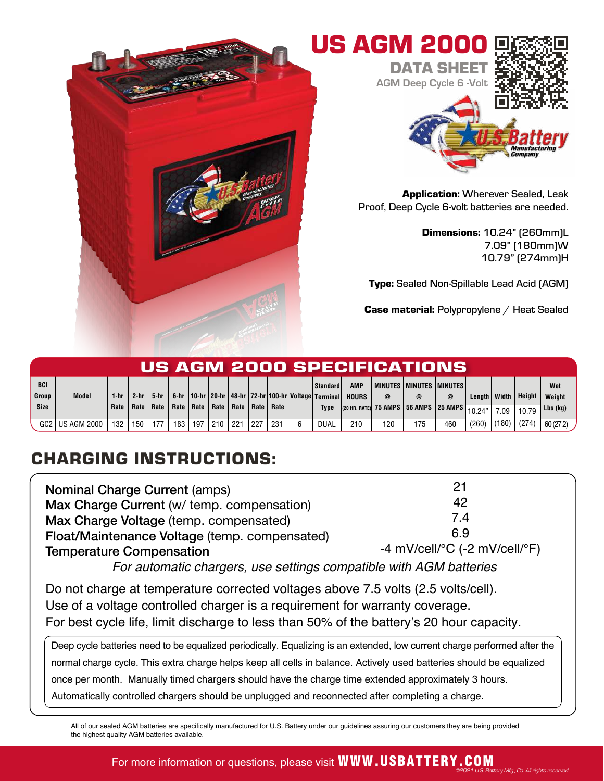



**Application: Wherever Sealed, Leak** Proof, Deep Cycle 6-volt batteries are needed.

> Dimensions: 10.24" (260mm)L 7.09" (180mm)W 10.79" (274mm)H

Type: Sealed Non-Spillable Lead Acid (AGM)

Case material: Polypropylene / Heat Sealed

| US AGM 2000 SPECIFICATIONS |                   |      |                    |             |     |     |      |                                           |      |     |  |                                                                                       |              |            |                                                          |     |                |       |               |                    |
|----------------------------|-------------------|------|--------------------|-------------|-----|-----|------|-------------------------------------------|------|-----|--|---------------------------------------------------------------------------------------|--------------|------------|----------------------------------------------------------|-----|----------------|-------|---------------|--------------------|
| <b>BCI</b><br>Group        | <b>Model</b>      | 1-hr |                    | 2-hr   5-hr |     |     |      |                                           |      |     |  | <b>Standard</b><br>6-hr   10-hr   20-hr   48-hr   72-hr   100-hr   Voltage   Terminal | <b>AMP</b>   |            | <b>I MINUTES I MINUTES I MINUTES</b>                     |     | Length   Width |       | <b>Height</b> | Wet                |
| <b>Size</b>                |                   |      | Rate   Rate   Rate |             |     |     |      | I Rate   Rate   Rate   Rate   Rate   Rate |      |     |  | Type                                                                                  | <b>HOURS</b> | $^{\circ}$ | $\circleda$<br>(20 HR. RATE) 75 AMPS   56 AMPS   25 AMPS | @   | 110.24"        | 7.09  | 10.79         | Weight<br>Lbs (kg) |
|                            | GC2 I US AGM 2000 | 132  | 150                | 177         | 183 | 197 | 1210 | 221                                       | 1227 | 231 |  | <b>DUAL</b>                                                                           | 210          | 120        | 175                                                      | 460 | (260)          | (180) | (274)         | 60(27.2)           |

## CHARGING INSTRUCTIONS:

| <b>Nominal Charge Current (amps)</b>                                      | $2^{\cdot}$                                             |  |  |  |  |
|---------------------------------------------------------------------------|---------------------------------------------------------|--|--|--|--|
| Max Charge Current (w/ temp. compensation)                                | 42                                                      |  |  |  |  |
| Max Charge Voltage (temp. compensated)                                    | 7.4                                                     |  |  |  |  |
| Float/Maintenance Voltage (temp. compensated)                             | 6.9                                                     |  |  |  |  |
| <b>Temperature Compensation</b>                                           | -4 mV/cell/ ${}^{\circ}$ C (-2 mV/cell/ ${}^{\circ}$ F) |  |  |  |  |
| $\Gamma$ ar automotio eharaara uga sattinga sampatible with ACM batterias |                                                         |  |  |  |  |

For automatic chargers, use settings compatible with AGM batteries

Do not charge at temperature corrected voltages above 7.5 volts (2.5 volts/cell). Use of a voltage controlled charger is a requirement for warranty coverage. For best cycle life, limit discharge to less than 50% of the battery's 20 hour capacity.

Deep cycle batteries need to be equalized periodically. Equalizing is an extended, low current charge performed after the normal charge cycle. This extra charge helps keep all cells in balance. Actively used batteries should be equalized once per month. Manually timed chargers should have the charge time extended approximately 3 hours. Automatically controlled chargers should be unplugged and reconnected after completing a charge.

All of our sealed AGM batteries are specifically manufactured for U.S. Battery under our guidelines assuring our customers they are being provided the highest quality AGM batteries available.